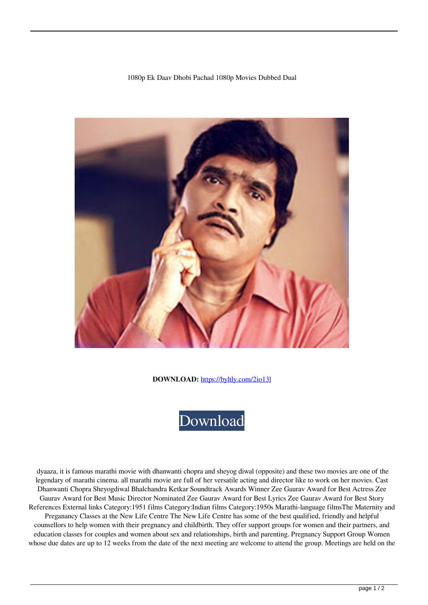## 1080p Ek Daav Dhobi Pachad 1080p Movies Dubbed Dual



**DOWNLOAD:** <https://byltly.com/2io13l>



 dyaaza, it is famous marathi movie with dhanwanti chopra and sheyog diwal (opposite) and these two movies are one of the legendary of marathi cinema. all marathi movie are full of her versatile acting and director like to work on her movies. Cast Dhanwanti Chopra Sheyogdiwal Bhalchandra Ketkar Soundtrack Awards Winner Zee Gaurav Award for Best Actress Zee Gaurav Award for Best Music Director Nominated Zee Gaurav Award for Best Lyrics Zee Gaurav Award for Best Story References External links Category:1951 films Category:Indian films Category:1950s Marathi-language filmsThe Maternity and Preganancy Classes at the New Life Centre The New Life Centre has some of the best qualified, friendly and helpful counsellors to help women with their pregnancy and childbirth. They offer support groups for women and their partners, and education classes for couples and women about sex and relationships, birth and parenting. Pregnancy Support Group Women whose due dates are up to 12 weeks from the date of the next meeting are welcome to attend the group. Meetings are held on the